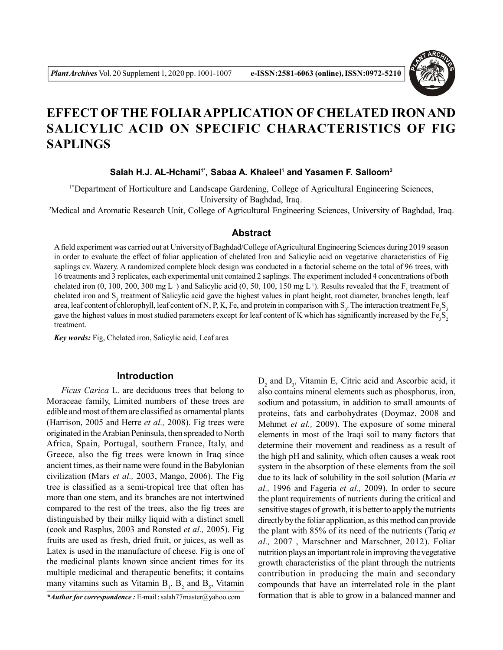

# **EFFECT OFTHE FOLIAR APPLICATION OF CHELATED IRON AND SALICYLIC ACID ON SPECIFIC CHARACTERISTICS OF FIG SAPLINGS**

**Salah H.J. AL-Hchami1\*, Sabaa A. Khaleel<sup>1</sup> and Yasamen F. Salloom<sup>2</sup>**

1\*Department of Horticulture and Landscape Gardening, College of Agricultural Engineering Sciences, University of Baghdad, Iraq.

<sup>2</sup>Medical and Aromatic Research Unit, College of Agricultural Engineering Sciences, University of Baghdad, Iraq.

#### **Abstract**

A field experiment was carried out at University of Baghdad/College of Agricultural Engineering Sciences during 2019 season in order to evaluate the effect of foliar application of chelated Iron and Salicylic acid on vegetative characteristics of Fig saplings cv. Wazery. A randomized complete block design was conducted in a factorial scheme on the total of 96 trees, with 16 treatments and 3 replicates, each experimental unit contained 2 saplings. The experiment included 4 concentrations of both chelated iron (0, 100, 200, 300 mg L<sup>-1</sup>) and Salicylic acid (0, 50, 100, 150 mg L<sup>-1</sup>). Results revealed that the  $F_3$  treatment of chelated iron and S<sub>3</sub> treatment of Salicylic acid gave the highest values in plant height, root diameter, branches length, leaf area, leaf content of chlorophyll, leaf content of N, P, K, Fe, and protein in comparison with  $S_0$ . The interaction treatment  $Fe_3S_3$ gave the highest values in most studied parameters except for leaf content of K which has significantly increased by the  $Fe_{3}S_{2}$ treatment.

*Key words:* Fig, Chelated iron, Salicylic acid, Leaf area

# **Introduction**

*Ficus Carica* L. are deciduous trees that belong to Moraceae family, Limited numbers of these trees are edible and most of them are classified as ornamental plants (Harrison, 2005 and Herre *et al.,* 2008). Fig trees were originated in the Arabian Peninsula, then spreaded to North Africa, Spain, Portugal, southern France, Italy, and Greece, also the fig trees were known in Iraq since ancient times, as their name were found in the Babylonian civilization (Mars *et al.,* 2003, Mango, 2006). The Fig tree is classified as a semi-tropical tree that often has more than one stem, and its branches are not intertwined compared to the rest of the trees, also the fig trees are distinguished by their milky liquid with a distinct smell (cook and Rasplus, 2003 and Ronsted *et al.,* 2005). Fig fruits are used as fresh, dried fruit, or juices, as well as Latex is used in the manufacture of cheese. Fig is one of the medicinal plants known since ancient times for its multiple medicinal and therapeutic benefits; it contains many vitamins such as Vitamin  $B_1$ ,  $B_2$  and  $B_5$ , Vitamin

*\*Author for correspondence :* E-mail : salah77master@yahoo.com

 $D_2$  and  $D_3$ , Vitamin E, Citric acid and Ascorbic acid, it also contains mineral elements such as phosphorus, iron, sodium and potassium, in addition to small amounts of proteins, fats and carbohydrates (Doymaz, 2008 and Mehmet *et al.,* 2009). The exposure of some mineral elements in most of the Iraqi soil to many factors that determine their movement and readiness as a result of the high pH and salinity, which often causes a weak root system in the absorption of these elements from the soil due to its lack of solubility in the soil solution (Maria *et al.,* 1996 and Fageria *et al.,* 2009). In order to secure the plant requirements of nutrients during the critical and sensitive stages of growth, it is better to apply the nutrients directly by the foliar application, as this method can provide the plant with 85% of its need of the nutrients (Tariq *et al.,* 2007 , Marschner and Marschner, 2012). Foliar nutrition plays an important role in improving the vegetative growth characteristics of the plant through the nutrients contribution in producing the main and secondary compounds that have an interrelated role in the plant formation that is able to grow in a balanced manner and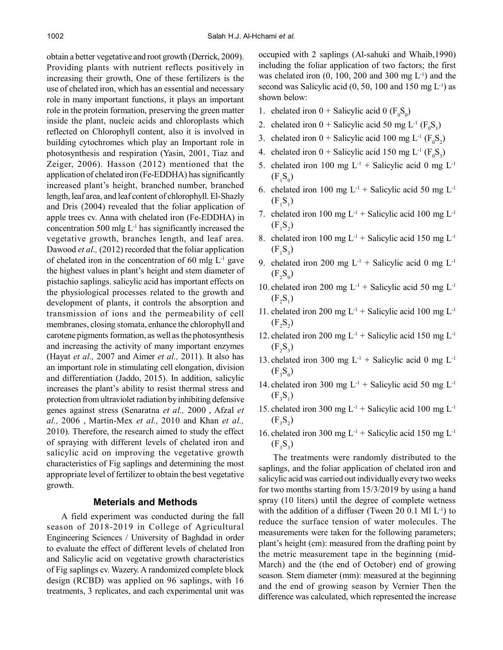obtain a better vegetative and root growth (Derrick, 2009). Providing plants with nutrient reflects positively in increasing their growth, One of these fertilizers is the use of chelated iron, which has an essential and necessary role in many important functions, it plays an important role in the protein formation, preserving the green matter inside the plant, nucleic acids and chloroplasts which reflected on Chlorophyll content, also it is involved in building cytochromes which play an Important role in photosynthesis and respiration (Yasin, 2001, Tiaz and Zeiger, 2006). Hasson (2012) mentioned that the application of chelated iron (Fe-EDDHA) has significantly increased plant's height, branched number, branched length, leaf area, and leaf content of chlorophyll. El-Shazly and Dris (2004) revealed that the foliar application of apple trees cv. Anna with chelated iron (Fe-EDDHA) in concentration 500 mlg  $L^{-1}$  has significantly increased the vegetative growth, branches length, and leaf area. Dawood *et al.*, (2012) recorded that the foliar application of chelated iron in the concentration of 60 mlg  $L^{-1}$  gave the highest values in plant's height and stem diameter of pistachio saplings. salicylic acid has important effects on the physiological processes related to the growth and development of plants, it controls the absorption and transmission of ions and the permeability of cell membranes, closing stomata, enhance the chlorophyll and carotene pigments formation, as well as the photosynthesis and increasing the activity of many important enzymes (Hayat *et al.,* 2007 and Aimer *et al.,* 2011). It also has an important role in stimulating cell elongation, division and differentiation (Jaddo, 2015). In addition, salicylic increases the plant's ability to resist thermal stress and protection from ultraviolet radiation by inhibiting defensive genes against stress (Senaratna *et al.,* 2000 , Afzal *et al.,* 2006 , Martin-Mex *et al.,* 2010 and Khan *et al.,* 2010). Therefore, the research aimed to study the effect of spraying with different levels of chelated iron and salicylic acid on improving the vegetative growth characteristics of Fig saplings and determining the most appropriate level of fertilizer to obtain the best vegetative growth.

# **Meterials and Methods**

A field experiment was conducted during the fall season of 2018-2019 in College of Agricultural Engineering Sciences / University of Baghdad in order to evaluate the effect of different levels of chelated Iron and Salicylic acid on vegetative growth characteristics of Fig saplings cv. Wazery. A randomized complete block design (RCBD) was applied on 96 saplings, with 16 treatments, 3 replicates, and each experimental unit was occupied with 2 saplings (Al-sahuki and Whaib,1990) including the foliar application of two factors; the first was chelated iron  $(0, 100, 200$  and  $300$  mg  $L^{-1}$ ) and the second was Salicylic acid  $(0, 50, 100$  and  $150$  mg  $L^{-1}$ ) as shown below:

- 1. chelated iron  $0 +$  Salicylic acid 0 ( $F_0S_0$ )
- 2. chelated iron  $0 +$  Salicylic acid 50 mg L<sup>-1</sup> ( $F_0S_1$ )
- 3. chelated iron  $0 +$  Salicylic acid 100 mg L<sup>-1</sup> ( $F_0S_2$ )
- 4. chelated iron  $0 +$  Salicylic acid 150 mg L<sup>-1</sup> ( $F_0S_3$ )
- 5. chelated iron 100 mg  $L^{-1}$  + Salicylic acid 0 mg  $L^{-1}$  $(F_1S_0)$
- 6. chelated iron 100 mg  $L^{-1}$  + Salicylic acid 50 mg  $L^{-1}$  $(F_1S_1)$
- 7. chelated iron 100 mg  $L^{-1}$  + Salicylic acid 100 mg  $L^{-1}$  $(F_1S_2)$
- 8. chelated iron 100 mg  $L^{-1}$  + Salicylic acid 150 mg  $L^{-1}$  $(F_1S_3)$
- 9. chelated iron 200 mg  $L^{-1}$  + Salicylic acid 0 mg  $L^{-1}$  $(F_2S_0)$
- 10. chelated iron 200 mg  $L^{-1}$  + Salicylic acid 50 mg  $L^{-1}$  $(F_2S_1)$
- 11. chelated iron 200 mg  $L^{-1}$  + Salicylic acid 100 mg  $L^{-1}$  $(F_2S_2)$
- 12. chelated iron 200 mg  $L^{-1}$  + Salicylic acid 150 mg  $L^{-1}$  $(F_2S_3)$
- 13. chelated iron 300 mg  $L^{-1}$  + Salicylic acid 0 mg  $L^{-1}$  $(F_3S_0)$
- 14. chelated iron 300 mg  $L^{-1}$  + Salicylic acid 50 mg  $L^{-1}$  $(F_3S_1)$
- 15. chelated iron 300 mg  $L^{-1}$  + Salicylic acid 100 mg  $L^{-1}$  $(F_3S_2)$
- 16. chelated iron 300 mg  $L^{-1}$  + Salicylic acid 150 mg  $L^{-1}$  $(F_3S_3)$

The treatments were randomly distributed to the saplings, and the foliar application of chelated iron and salicylic acid was carried out individually every two weeks for two months starting from 15/3/2019 by using a hand spray (10 liters) until the degree of complete wetness with the addition of a diffuser (Tween 20 0.1 Ml  $L^{-1}$ ) to reduce the surface tension of water molecules. The measurements were taken for the following parameters; plant's height (cm): measured from the drafting point by the metric measurement tape in the beginning (mid-March) and the (the end of October) end of growing season. Stem diameter (mm): measured at the beginning and the end of growing season by Vernier Then the difference was calculated, which represented the increase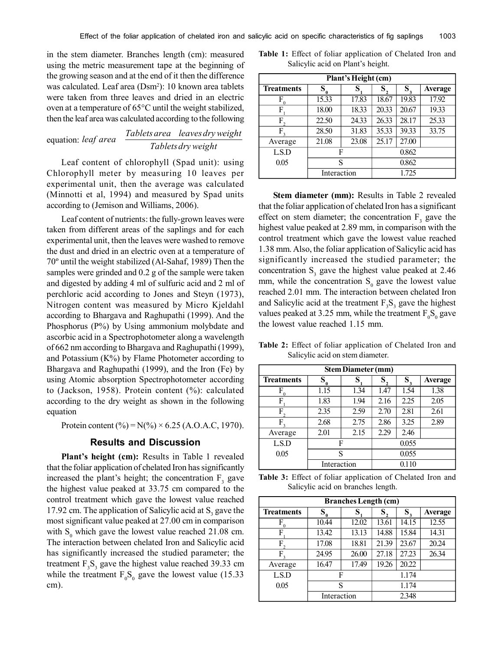in the stem diameter. Branches length (cm): measured using the metric measurement tape at the beginning of the growing season and at the end of it then the difference was calculated. Leaf area (Dsm<sup>2</sup>): 10 known area tablets were taken from three leaves and dried in an electric oven at a temperature of 65°C until the weight stabilized, then the leaf area was calculated according to the following

equation: *Tabletsdry weight Tablets area leavesdryweight leaf area*

Leaf content of chlorophyll (Spad unit): using Chlorophyll meter by measuring 10 leaves per experimental unit, then the average was calculated (Minnotti et al, 1994) and measured by Spad units according to (Jemison and Williams, 2006).

Leaf content of nutrients: the fully-grown leaves were taken from different areas of the saplings and for each experimental unit, then the leaves were washed to remove the dust and dried in an electric oven at a temperature of 70º until the weight stabilized (Al-Sahaf, 1989) Then the samples were grinded and 0.2 g of the sample were taken and digested by adding 4 ml of sulfuric acid and 2 ml of perchloric acid according to Jones and Steyn (1973), Nitrogen content was measured by Micro Kjeldahl according to Bhargava and Raghupathi (1999). And the Phosphorus (P%) by Using ammonium molybdate and ascorbic acid in a Spectrophotometer along a wavelength of 662 nm according to Bhargava and Raghupathi (1999), and Potassium  $(K\%)$  by Flame Photometer according to Bhargava and Raghupathi (1999), and the Iron (Fe) by using Atomic absorption Spectrophotometer according to (Jackson, 1958). Protein content (%): calculated according to the dry weight as shown in the following equation

Protein content (%) =  $N(\%) \times 6.25$  (A.O.A.C, 1970).

## **Results and Discussion**

**Plant's height (cm):** Results in Table 1 revealed that the foliar application of chelated Iron has significantly increased the plant's height; the concentration  $F_3$  gave the highest value peaked at 33.75 cm compared to the control treatment which gave the lowest value reached 17.92 cm. The application of Salicylic acid at  $S_3$  gave the most significant value peaked at 27.00 cm in comparison with  $S_0$  which gave the lowest value reached 21.08 cm. The interaction between chelated Iron and Salicylic acid has significantly increased the studied parameter; the treatment  $F_3S_3$  gave the highest value reached 39.33 cm while the treatment  $F_0S_0$  gave the lowest value (15.33) cm).

|  |  |                                   | <b>Table 1:</b> Effect of foliar application of Chelated Iron and |  |
|--|--|-----------------------------------|-------------------------------------------------------------------|--|
|  |  | Salicylic acid on Plant's height. |                                                                   |  |

| Plant's Height (cm) |               |       |         |             |                |  |  |  |
|---------------------|---------------|-------|---------|-------------|----------------|--|--|--|
| <b>Treatments</b>   | ${\bf S}^-_0$ | S     | $S_{2}$ | $S_{\rm a}$ | <b>Average</b> |  |  |  |
| F                   | 15.33         | 17.83 | 18.67   | 19.83       | 17.92          |  |  |  |
| F                   | 18.00         | 18.33 | 20.33   | 20.67       | 19.33          |  |  |  |
| F                   | 22.50         | 24.33 | 26.33   | 28.17       | 25.33          |  |  |  |
| F                   | 28.50         | 31.83 | 35.33   | 39.33       | 33.75          |  |  |  |
| Average             | 21.08         | 23.08 | 25.17   | 27.00       |                |  |  |  |
| LSD                 | F             |       | 0.862   |             |                |  |  |  |
| 0.05                | S             |       | 0.862   |             |                |  |  |  |
|                     | Interaction   |       | 1.725   |             |                |  |  |  |

**Stem diameter (mm):** Results in Table 2 revealed that the foliar application of chelated Iron has a significant effect on stem diameter; the concentration  $F_3$  gave the highest value peaked at 2.89 mm, in comparison with the control treatment which gave the lowest value reached 1.38 mm. Also, the foliar application of Salicylic acid has significantly increased the studied parameter; the concentration  $S_3$  gave the highest value peaked at 2.46 mm, while the concentration  $S_0$  gave the lowest value reached 2.01 mm. The interaction between chelated Iron and Salicylic acid at the treatment  $F_3S_3$  gave the highest values peaked at 3.25 mm, while the treatment  $F_0S_0$  gave the lowest value reached 1.15 mm.

**Table 2:** Effect of foliar application of Chelated Iron and Salicylic acid on stem diameter.

| <b>Stem Diameter (mm)</b> |             |      |         |         |                |  |  |  |
|---------------------------|-------------|------|---------|---------|----------------|--|--|--|
| <b>Treatments</b>         | $S_{0}$     | S    | $S_{2}$ | $S_{3}$ | <b>Average</b> |  |  |  |
| F                         | 1.15        | 1.34 | 1.47    | 1.54    | 1.38           |  |  |  |
| F                         | 1.83        | 1.94 | 2.16    | 2.25    | 2.05           |  |  |  |
| F                         | 2.35        | 2.59 | 2.70    | 2.81    | 2.61           |  |  |  |
| F                         | 2.68        | 2.75 | 2.86    | 3.25    | 2.89           |  |  |  |
| Average                   | 2.01        | 2.15 | 2.29    | 2.46    |                |  |  |  |
| LSD                       |             | F    | 0.055   |         |                |  |  |  |
| 0.05                      | S           |      | 0.055   |         |                |  |  |  |
|                           | Interaction |      | 0.110   |         |                |  |  |  |

**Table 3:** Effect of foliar application of Chelated Iron and Salicylic acid on branches length.

| <b>Branches Length (cm)</b> |             |       |       |         |         |  |  |  |
|-----------------------------|-------------|-------|-------|---------|---------|--|--|--|
| <b>Treatments</b>           | $S_{0}$     | S     |       | $S_{3}$ | Average |  |  |  |
| F                           | 10.44       | 12.02 | 13.61 | 14.15   | 12.55   |  |  |  |
| F                           | 13.42       | 13.13 | 14.88 | 15.84   | 14.31   |  |  |  |
| F.                          | 17.08       | 18.81 | 21.39 | 23.67   | 20.24   |  |  |  |
| F                           | 24.95       | 26.00 | 27.18 | 27.23   | 26.34   |  |  |  |
| Average                     | 16.47       | 17.49 | 19.26 | 20.22   |         |  |  |  |
| LSD                         |             | F     | 1.174 |         |         |  |  |  |
| 0.05                        | S           |       | 1.174 |         |         |  |  |  |
|                             | Interaction |       | 2.348 |         |         |  |  |  |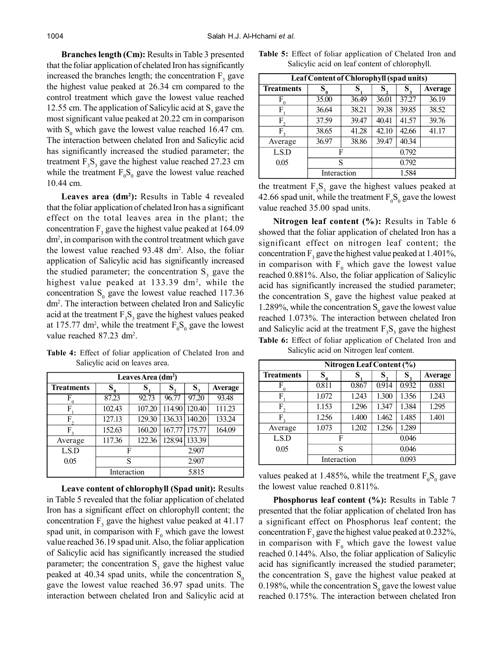**Branches length (Cm):** Results in Table 3 presented that the foliar application of chelated Iron has significantly increased the branches length; the concentration  $F_3$  gave the highest value peaked at 26.34 cm compared to the control treatment which gave the lowest value reached 12.55 cm. The application of Salicylic acid at  $S_3$  gave the most significant value peaked at 20.22 cm in comparison with  $S_0$  which gave the lowest value reached 16.47 cm. The interaction between chelated Iron and Salicylic acid has significantly increased the studied parameter; the treatment  $F_3S_3$  gave the highest value reached 27.23 cm while the treatment  $F_0S_0$  gave the lowest value reached 10.44 cm.

**Leaves area (dm<sup>2</sup> ):** Results in Table 4 revealed that the foliar application of chelated Iron has a significant effect on the total leaves area in the plant; the concentration  $F_3$  gave the highest value peaked at 164.09 dm<sup>2</sup> , in comparison with the control treatment which gave the lowest value reached 93.48 dm<sup>2</sup> . Also, the foliar application of Salicylic acid has significantly increased the studied parameter; the concentration  $S_3$  gave the highest value peaked at 133.39 dm<sup>2</sup>, while the concentration  $S_0$  gave the lowest value reached 117.36 dm<sup>2</sup> . The interaction between chelated Iron and Salicylic acid at the treatment  $F_3S_3$  gave the highest values peaked at 175.77 dm<sup>2</sup>, while the treatment  $F_0S_0$  gave the lowest value reached 87.23 dm<sup>2</sup>.

|  |  |                                |  | Table 4: Effect of foliar application of Chelated Iron and |  |
|--|--|--------------------------------|--|------------------------------------------------------------|--|
|  |  | Salicylic acid on leaves area. |  |                                                            |  |

| Leaves Area $(dm2)$ |             |        |        |               |                |  |  |  |
|---------------------|-------------|--------|--------|---------------|----------------|--|--|--|
| <b>Treatments</b>   | $S_{0}$     |        |        |               | <b>Average</b> |  |  |  |
| F                   | 87.23       | 92.73  | 96.77  | 97.20         | 93.48          |  |  |  |
| F                   | 102.43      | 107.20 | 114.90 | 120.40        | 111.23         |  |  |  |
| F                   | 127.13      | 129.30 | 136.33 | 140.20        | 133.24         |  |  |  |
| F                   | 152.63      | 160.20 |        | 167.77 175.77 | 164.09         |  |  |  |
| Average             | 117.36      | 122.36 | 128.94 | 133.39        |                |  |  |  |
| LSD                 | F           |        | 2.907  |               |                |  |  |  |
| 0.05                | S           |        | 2.907  |               |                |  |  |  |
|                     | Interaction |        | 5.815  |               |                |  |  |  |

**Leave content of chlorophyll (Spad unit):** Results in Table 5 revealed that the foliar application of chelated Iron has a significant effect on chlorophyll content; the concentration  $F_3$  gave the highest value peaked at 41.17 spad unit, in comparison with  $F_0$  which gave the lowest value reached 36.19 spad unit. Also, the foliar application of Salicylic acid has significantly increased the studied parameter; the concentration  $S_3$  gave the highest value peaked at 40.34 spad units, while the concentration  $S_0$ gave the lowest value reached 36.97 spad units. The interaction between chelated Iron and Salicylic acid at

|  |  |  | Table 5: Effect of foliar application of Chelated Iron and |  |
|--|--|--|------------------------------------------------------------|--|
|  |  |  | Salicylic acid on leaf content of chlorophyll.             |  |

| Leaf Content of Chlorophyll (spad units) |             |       |       |                |         |  |  |  |
|------------------------------------------|-------------|-------|-------|----------------|---------|--|--|--|
| <b>Treatments</b>                        | $S_{0}$     | S     | S,    | $S_{\tiny{3}}$ | Average |  |  |  |
| $F_{0}$                                  | 35.00       | 36.49 | 36.01 | 37.27          | 36.19   |  |  |  |
| F                                        | 36.64       | 38.21 | 39.38 | 39.85          | 38.52   |  |  |  |
| F.                                       | 37.59       | 39.47 | 40.41 | 41.57          | 39.76   |  |  |  |
| F                                        | 38.65       | 41.28 | 42.10 | 42.66          | 41.17   |  |  |  |
| Average                                  | 36.97       | 38.86 | 39.47 | 40.34          |         |  |  |  |
| L.S.D                                    | F           |       | 0.792 |                |         |  |  |  |
| 0.05                                     | S           |       | 0.792 |                |         |  |  |  |
|                                          | Interaction |       | 1.584 |                |         |  |  |  |

the treatment  $F_3S_3$  gave the highest values peaked at 42.66 spad unit, while the treatment  $F_0S_0$  gave the lowest value reached 35.00 spad units.

**Table 6:** Effect of foliar application of Chelated Iron and **Nitrogen leaf content (%):** Results in Table 6 showed that the foliar application of chelated Iron has a significant effect on nitrogen leaf content; the concentration  $F_3$  gave the highest value peaked at 1.401%, in comparison with  $F_0$  which gave the lowest value reached 0.881%. Also, the foliar application of Salicylic acid has significantly increased the studied parameter; the concentration  $S_3$  gave the highest value peaked at 1.289%, while the concentration  $S_0$  gave the lowest value reached 1.073%. The interaction between chelated Iron and Salicylic acid at the treatment  $F_3S_3$  gave the highest

| Nitrogen Leaf Content (%) |               |       |       |         |                |  |  |  |
|---------------------------|---------------|-------|-------|---------|----------------|--|--|--|
| <b>Treatments</b>         | $S_{0}$<br>S, |       | S,    | $S_{3}$ | <b>Average</b> |  |  |  |
| F<br>$\Omega$             | 0.811         | 0.867 | 0.914 | 0.932   | 0.881          |  |  |  |
| F                         | 1.072         | 1.243 | 1.300 | 1.356   | 1.243          |  |  |  |
| $F_{2}$                   | 1.153         | 1.296 | 1.347 | 1.384   | 1.295          |  |  |  |
| $F_{\rm a}$               | 1.256         | 1.400 | 1.462 | 1.485   | 1.401          |  |  |  |
| Average                   | 1.073         | 1.202 | 1.256 | 1.289   |                |  |  |  |
| LSD                       | F             |       | 0.046 |         |                |  |  |  |
| 0.05                      | S             |       | 0.046 |         |                |  |  |  |
|                           | Interaction   |       | 0.093 |         |                |  |  |  |

Salicylic acid on Nitrogen leaf content.

values peaked at 1.485%, while the treatment  $F_0S_0$  gave the lowest value reached 0.811%.

**Phosphorus leaf content (%):** Results in Table 7 presented that the foliar application of chelated Iron has a significant effect on Phosphorus leaf content; the concentration  $F_3$  gave the highest value peaked at 0.232%, in comparison with  $F_0$  which gave the lowest value reached 0.144%. Also, the foliar application of Salicylic acid has significantly increased the studied parameter; the concentration  $S_3$  gave the highest value peaked at 0.198%, while the concentration  $S_0$  gave the lowest value reached 0.175%. The interaction between chelated Iron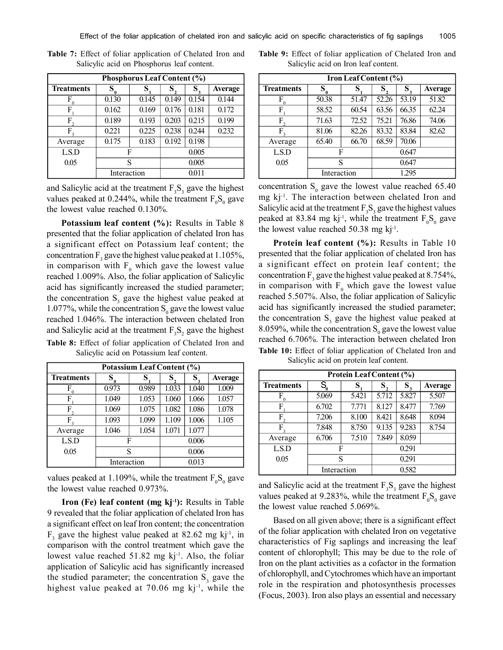| <b>Phosphorus Leaf Content (%)</b> |             |       |         |                   |                |  |  |  |
|------------------------------------|-------------|-------|---------|-------------------|----------------|--|--|--|
| <b>Treatments</b>                  | $S_{0}$     |       | $S_{2}$ | $S_{\frac{1}{3}}$ | <b>Average</b> |  |  |  |
| F                                  | 0.130       | 0.145 | 0.149   | 0.154             | 0.144          |  |  |  |
| F                                  | 0.162       | 0.169 | 0.176   | 0.181             | 0.172          |  |  |  |
| F                                  | 0.189       | 0.193 | 0.203   | 0.215             | 0.199          |  |  |  |
| F                                  | 0.221       | 0.225 | 0.238   | 0.244             | 0.232          |  |  |  |
| Average                            | 0.175       | 0.183 | 0.192   | 0.198             |                |  |  |  |
| LSD                                | F           |       | 0.005   |                   |                |  |  |  |
| 0.05                               | S           |       | 0.005   |                   |                |  |  |  |
|                                    | Interaction |       | 0.011   |                   |                |  |  |  |

**Table 7:** Effect of foliar application of Chelated Iron and Salicylic acid on Phosphorus leaf content.

and Salicylic acid at the treatment  $F_3S_3$  gave the highest values peaked at 0.244%, while the treatment  $F_0S_0$  gave the lowest value reached 0.130%.

**Potassium leaf content (%):** Results in Table 8 presented that the foliar application of chelated Iron has a significant effect on Potassium leaf content; the concentration  $F_3$  gave the highest value peaked at 1.105%, in comparison with  $F_0$  which gave the lowest value reached 1.009%. Also, the foliar application of Salicylic acid has significantly increased the studied parameter; the concentration  $S_3$  gave the highest value peaked at 1.077%, while the concentration  $S_0$  gave the lowest value reached 1.046%. The interaction between chelated Iron and Salicylic acid at the treatment  $F_3S_2$  gave the highest Table 8: Effect of foliar application of Chelated Iron and reached 6.706%. The interaction between chelated Iron Salicylic acid on Potassium leaf content.

| Potassium Leaf Content (%) |             |       |         |                   |                |  |  |  |
|----------------------------|-------------|-------|---------|-------------------|----------------|--|--|--|
| <b>Treatments</b>          | S           | S     | $S_{2}$ | $S_{\frac{1}{3}}$ | <b>Average</b> |  |  |  |
|                            | 0.973       | 0.989 | 1.033   | 1.040             | 1.009          |  |  |  |
| F                          | 1.049       | 1.053 | 1.060   | 1.066             | 1.057          |  |  |  |
| F                          | 1.069       | 1.075 | 1.082   | 1.086             | 1.078          |  |  |  |
| F                          | 1.093       | 1.099 | 1.109   | 1.006             | 1.105          |  |  |  |
| Average                    | 1.046       | 1.054 | 1.071   | 1.077             |                |  |  |  |
| LSD                        |             | F     | 0.006   |                   |                |  |  |  |
| 0.05                       | S           |       | 0.006   |                   |                |  |  |  |
|                            | Interaction |       | 0.013   |                   |                |  |  |  |

values peaked at 1.109%, while the treatment  $F_0S_0$  gave the lowest value reached 0.973%.

**Iron (Fe) leaf content (mg kj-1):** Results in Table 9 revealed that the foliar application of chelated Iron has a significant effect on leaf Iron content; the concentration  $F_3$  gave the highest value peaked at 82.62 mg kj<sup>-1</sup>, in comparison with the control treatment which gave the lowest value reached  $51.82$  mg kj<sup>-1</sup>. Also, the foliar application of Salicylic acid has significantly increased the studied parameter; the concentration  $S_3$  gave the highest value peaked at 70.06 mg kj<sup>-1</sup>, while the

**Table 9:** Effect of foliar application of Chelated Iron and Salicylic acid on Iron leaf content.

| Iron Leaf Content (%) |             |       |       |                   |                |  |  |  |
|-----------------------|-------------|-------|-------|-------------------|----------------|--|--|--|
| <b>Treatments</b>     | $S_{0}$     | S     |       | $S_{\frac{1}{3}}$ | <b>Average</b> |  |  |  |
| F                     | 50.38       | 51.47 | 52.26 | 53.19             | 51.82          |  |  |  |
| F                     | 58.52       | 60.54 | 63.56 | 66.35             | 62.24          |  |  |  |
| F                     | 71.63       | 72.52 | 75.21 | 76.86             | 74.06          |  |  |  |
| F                     | 81.06       | 82.26 | 83.32 | 83.84             | 82.62          |  |  |  |
| Average               | 65.40       | 66.70 | 68.59 | 70.06             |                |  |  |  |
| L.S.D                 | F           |       | 0.647 |                   |                |  |  |  |
| 0.05                  | S           |       | 0.647 |                   |                |  |  |  |
|                       | Interaction |       | 1.295 |                   |                |  |  |  |

concentration  $S_0$  gave the lowest value reached 65.40 mg kj-1. The interaction between chelated Iron and Salicylic acid at the treatment  $F_3S_3$  gave the highest values peaked at 83.84 mg kj<sup>-1</sup>, while the treatment  $F_0S_0$  gave the lowest value reached  $50.38 \text{ mg kj}^{-1}$ .

**Protein leaf content (%):** Results in Table 10 presented that the foliar application of chelated Iron has a significant effect on protein leaf content; the concentration  $F_3$  gave the highest value peaked at 8.754%, in comparison with  $F_0$  which gave the lowest value reached 5.507%. Also, the foliar application of Salicylic acid has significantly increased the studied parameter; the concentration  $S_3$  gave the highest value peaked at 8.059%, while the concentration  $S_0$  gave the lowest value **Table 10:** Effect of foliar application of Chelated Iron and Salicylic acid

| Protein Leaf Content (%) |                              |       |         |       |                |
|--------------------------|------------------------------|-------|---------|-------|----------------|
| <b>Treatments</b>        | $S_{\!\scriptscriptstyle 0}$ | S     | $S_{2}$ | $S_3$ | <b>Average</b> |
| F                        | 5.069                        | 5.421 | 5.712   | 5.827 | 5.507          |
| F                        | 6.702                        | 7.771 | 8.127   | 8.477 | 7.769          |
| $F_{2}$                  | 7.206                        | 8.100 | 8.421   | 8.648 | 8.094          |
| F                        | 7.848                        | 8.750 | 9.135   | 9.283 | 8.754          |
| Average                  | 6.706                        | 7.510 | 7.849   | 8.059 |                |
| L.S.D                    | F                            |       | 0.291   |       |                |
| 0.05                     | S                            |       | 0.291   |       |                |
|                          | Interaction                  |       | 0.582   |       |                |

and Salicylic acid at the treatment  $F_3S_3$  gave the highest values peaked at 9.283%, while the treatment  $F_0S_0$  gave the lowest value reached 5.069%.

Based on all given above; there is a significant effect of the foliar application with chelated Iron on vegetative characteristics of Fig saplings and increasing the leaf content of chlorophyll; This may be due to the role of Iron on the plant activities as a cofactor in the formation of chlorophyll, and Cytochromes which have an important role in the respiration and photosynthesis processes (Focus, 2003). Iron also plays an essential and necessary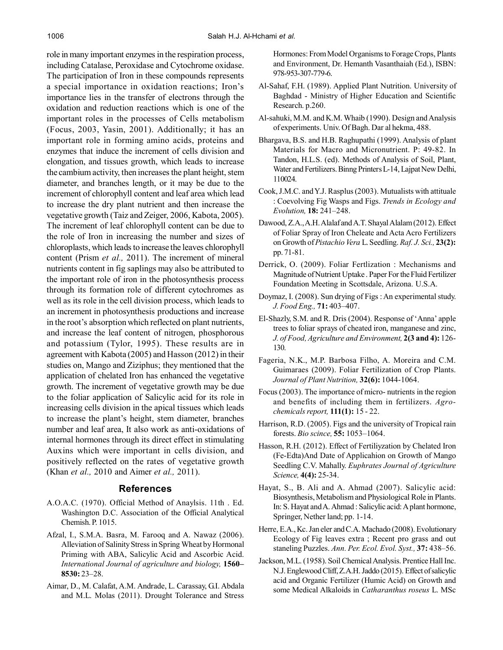role in many important enzymes in the respiration process, including Catalase, Peroxidase and Cytochrome oxidase. The participation of Iron in these compounds represents a special importance in oxidation reactions; Iron's importance lies in the transfer of electrons through the oxidation and reduction reactions which is one of the important roles in the processes of Cells metabolism (Focus, 2003, Yasin, 2001). Additionally; it has an important role in forming amino acids, proteins and enzymes that induce the increment of cells division and elongation, and tissues growth, which leads to increase the cambium activity, then increases the plant height, stem diameter, and branches length, or it may be due to the increment of chlorophyll content and leaf area which lead to increase the dry plant nutrient and then increase the vegetative growth (Taiz and Zeiger, 2006, Kabota, 2005). The increment of leaf chlorophyll content can be due to the role of Iron in increasing the number and sizes of chloroplasts, which leads to increase the leaves chlorophyll content (Prism *et al.,* 2011). The increment of mineral nutrients content in fig saplings may also be attributed to the important role of iron in the photosynthesis process through its formation role of different cytochromes as well as its role in the cell division process, which leads to an increment in photosynthesis productions and increase in the root's absorption which reflected on plant nutrients, and increase the leaf content of nitrogen, phosphorous and potassium (Tylor, 1995). These results are in agreement with Kabota (2005) and Hasson (2012) in their studies on, Mango and Ziziphus; they mentioned that the application of chelated Iron has enhanced the vegetative growth. The increment of vegetative growth may be due to the foliar application of Salicylic acid for its role in increasing cells division in the apical tissues which leads to increase the plant's height, stem diameter, branches number and leaf area, It also work as anti-oxidations of internal hormones through its direct effect in stimulating Auxins which were important in cells division, and positively reflected on the rates of vegetative growth (Khan *et al.,* 2010 and Aimer *et al.,* 2011).

### **References**

- A.O.A.C. (1970). Official Method of Anaylsis. 11th . Ed. Washington D.C. Association of the Official Analytical Chemish. P. 1015.
- Afzal, I., S.M.A. Basra, M. Farooq and A. Nawaz (2006). Alleviation of Salinity Stress in Spring Wheat by Hormonal Priming with ABA, Salicylic Acid and Ascorbic Acid. *International Journal of agriculture and biology,* **1560– 8530:** 23–28.
- Aimar, D., M. Calafat, A.M. Andrade, L. Carassay, G.I. Abdala and M.L. Molas (2011). Drought Tolerance and Stress

Hormones: From Model Organisms to Forage Crops, Plants and Environment, Dr. Hemanth Vasanthaiah (Ed.), ISBN: 978-953-307-779-6.

- Al-Sahaf, F.H. (1989). Applied Plant Nutrition. University of Baghdad - Ministry of Higher Education and Scientific Research. p.260.
- Al-sahuki, M.M. and K.M. Whaib (1990). Design and Analysis of experiments. Univ. Of Bagh. Dar al hekma, 488.
- Bhargava, B.S. and H.B. Raghupathi (1999). Analysis of plant Materials for Macro and Micronutrient. P: 49-82. In Tandon, H.L.S. (ed). Methods of Analysis of Soil, Plant, Water and Fertilizers. Binng Printers L-14, Lajpat New Delhi, 110024.
- Cook, J.M.C. and Y.J. Rasplus (2003). Mutualists with attituale : Coevolving Fig Wasps and Figs. *Trends in Ecology and Evolution,* **18:** 241–248.
- Dawood, Z.A., A.H. Alalaf and A.T. Shayal Alalam (2012). Effect of Foliar Spray of Iron Cheleate and Acta Acro Fertilizers on Growth of *Pistachio Vera* L. Seedling. *Raf. J. Sci.,* **23(2):** pp. 71-81.
- Derrick, O. (2009). Foliar Fertlization : Mechanisms and Magnitude of Nutrient Uptake . Paper For the Fluid Fertilizer Foundation Meeting in Scottsdale, Arizona. U.S.A.
- Doymaz, I. (2008). Sun drying of Figs : An experimental study. *J. Food Eng.,* **71:** 403–407.
- El-Shazly, S.M. and R. Dris (2004). Response of 'Anna' apple trees to foliar sprays of cheated iron, manganese and zinc, *J. of Food, Agriculture and Environment,* **2(3 and 4):** 126- 130.
- Fageria, N.K., M.P. Barbosa Filho, A. Moreira and C.M. Guimaraes (2009). Foliar Fertilization of Crop Plants. *Journal of Plant Nutrition,* **32(6):** 1044-1064.
- Focus (2003). The importance of micro- nutrients in the region and benefits of including them in fertilizers. *Agrochemicals report,* **111(1):** 15 - 22.
- Harrison, R.D. (2005). Figs and the university of Tropical rain forests. *Bio scince,* **55:** 1053–1064.
- Hasson, R.H. (2012). Effect of Fertiliyzation by Chelated Iron (Fe-Edta)And Date of Applicahion on Growth of Mango Seedling C.V. Mahally. *Euphrates Journal of Agriculture Science,* **4(4):** 25-34.
- Hayat, S., B. Ali and A. Ahmad (2007). Salicylic acid: Biosynthesis, Metabolism and Physiological Role in Plants. In: S. Hayat and A. Ahmad : Salicylic acid: A plant hormone, Springer, Nether land; pp. 1-14.
- Herre, E.A., Kc. Jan eler and C.A. Machado (2008). Evolutionary Ecology of Fig leaves extra ; Recent pro grass and out staneling Puzzles. *Ann. Per. Ecol. Evol. Syst.,* **37:** 438–56.
- Jackson, M.L. (1958). Soil Chemical Analysis. Prentice Hall Inc. N.J. Englewood Cliff, Z.A.H. Jaddo (2015). Effect of salicylic acid and Organic Fertilizer (Humic Acid) on Growth and some Medical Alkaloids in *Catharanthus roseus* L. MSc